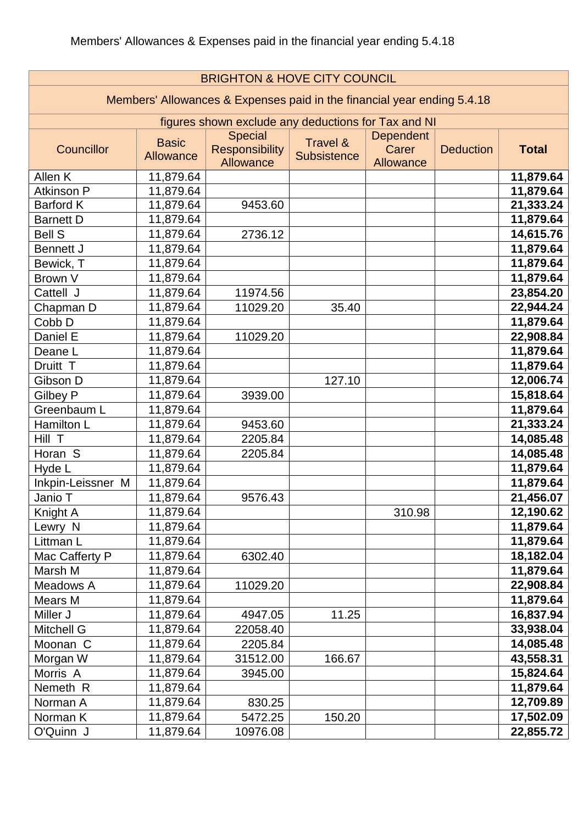| <b>BRIGHTON &amp; HOVE CITY COUNCIL</b>                                 |                                  |                                                             |                                |                                        |                  |              |
|-------------------------------------------------------------------------|----------------------------------|-------------------------------------------------------------|--------------------------------|----------------------------------------|------------------|--------------|
| Members' Allowances & Expenses paid in the financial year ending 5.4.18 |                                  |                                                             |                                |                                        |                  |              |
| figures shown exclude any deductions for Tax and NI                     |                                  |                                                             |                                |                                        |                  |              |
| Councillor                                                              | <b>Basic</b><br><b>Allowance</b> | <b>Special</b><br><b>Responsibility</b><br><b>Allowance</b> | Travel &<br><b>Subsistence</b> | <b>Dependent</b><br>Carer<br>Allowance | <b>Deduction</b> | <b>Total</b> |
| Allen K                                                                 | 11,879.64                        |                                                             |                                |                                        |                  | 11,879.64    |
| Atkinson P                                                              | 11,879.64                        |                                                             |                                |                                        |                  | 11,879.64    |
| <b>Barford K</b>                                                        | 11,879.64                        | 9453.60                                                     |                                |                                        |                  | 21,333.24    |
| <b>Barnett D</b>                                                        | 11,879.64                        |                                                             |                                |                                        |                  | 11,879.64    |
| <b>Bell S</b>                                                           | 11,879.64                        | 2736.12                                                     |                                |                                        |                  | 14,615.76    |
| <b>Bennett J</b>                                                        | 11,879.64                        |                                                             |                                |                                        |                  | 11,879.64    |
| Bewick, T                                                               | 11,879.64                        |                                                             |                                |                                        |                  | 11,879.64    |
| Brown V                                                                 | 11,879.64                        |                                                             |                                |                                        |                  | 11,879.64    |
| Cattell J                                                               | 11,879.64                        | 11974.56                                                    |                                |                                        |                  | 23,854.20    |
| Chapman D                                                               | 11,879.64                        | 11029.20                                                    | 35.40                          |                                        |                  | 22,944.24    |
| Cobb D                                                                  | 11,879.64                        |                                                             |                                |                                        |                  | 11,879.64    |
| Daniel E                                                                | 11,879.64                        | 11029.20                                                    |                                |                                        |                  | 22,908.84    |
| Deane L                                                                 | 11,879.64                        |                                                             |                                |                                        |                  | 11,879.64    |
| Druitt T                                                                | 11,879.64                        |                                                             |                                |                                        |                  | 11,879.64    |
| Gibson D                                                                | 11,879.64                        |                                                             | 127.10                         |                                        |                  | 12,006.74    |
| Gilbey P                                                                | 11,879.64                        | 3939.00                                                     |                                |                                        |                  | 15,818.64    |
| Greenbaum L                                                             | 11,879.64                        |                                                             |                                |                                        |                  | 11,879.64    |
| Hamilton L                                                              | 11,879.64                        | 9453.60                                                     |                                |                                        |                  | 21,333.24    |
| Hill T                                                                  | 11,879.64                        | 2205.84                                                     |                                |                                        |                  | 14,085.48    |
| Horan S                                                                 | 11,879.64                        | 2205.84                                                     |                                |                                        |                  | 14,085.48    |
| Hyde L                                                                  | 11,879.64                        |                                                             |                                |                                        |                  | 11,879.64    |
| Inkpin-Leissner M                                                       | 11,879.64                        |                                                             |                                |                                        |                  | 11,879.64    |
| Janio T                                                                 | 11,879.64                        | 9576.43                                                     |                                |                                        |                  | 21,456.07    |
| Knight A                                                                | 11,879.64                        |                                                             |                                | 310.98                                 |                  | 12,190.62    |
| Lewry N                                                                 | 11,879.64                        |                                                             |                                |                                        |                  | 11,879.64    |
| Littman L                                                               | 11,879.64                        |                                                             |                                |                                        |                  | 11,879.64    |
| Mac Cafferty P                                                          | 11,879.64                        | 6302.40                                                     |                                |                                        |                  | 18,182.04    |
| Marsh M                                                                 | 11,879.64                        |                                                             |                                |                                        |                  | 11,879.64    |
| Meadows A                                                               | 11,879.64                        | 11029.20                                                    |                                |                                        |                  | 22,908.84    |
| Mears M                                                                 | 11,879.64                        |                                                             |                                |                                        |                  | 11,879.64    |
| Miller J                                                                | 11,879.64                        | 4947.05                                                     | 11.25                          |                                        |                  | 16,837.94    |
| Mitchell G                                                              | 11,879.64                        | 22058.40                                                    |                                |                                        |                  | 33,938.04    |
| Moonan C                                                                | 11,879.64                        | 2205.84                                                     |                                |                                        |                  | 14,085.48    |
| Morgan W                                                                | 11,879.64                        | 31512.00                                                    | 166.67                         |                                        |                  | 43,558.31    |
| Morris A                                                                | 11,879.64                        | 3945.00                                                     |                                |                                        |                  | 15,824.64    |
| Nemeth R                                                                | 11,879.64                        |                                                             |                                |                                        |                  | 11,879.64    |
| Norman A                                                                | 11,879.64                        | 830.25                                                      |                                |                                        |                  | 12,709.89    |
| Norman K                                                                | 11,879.64                        | 5472.25                                                     | 150.20                         |                                        |                  | 17,502.09    |
| O'Quinn J                                                               | 11,879.64                        | 10976.08                                                    |                                |                                        |                  | 22,855.72    |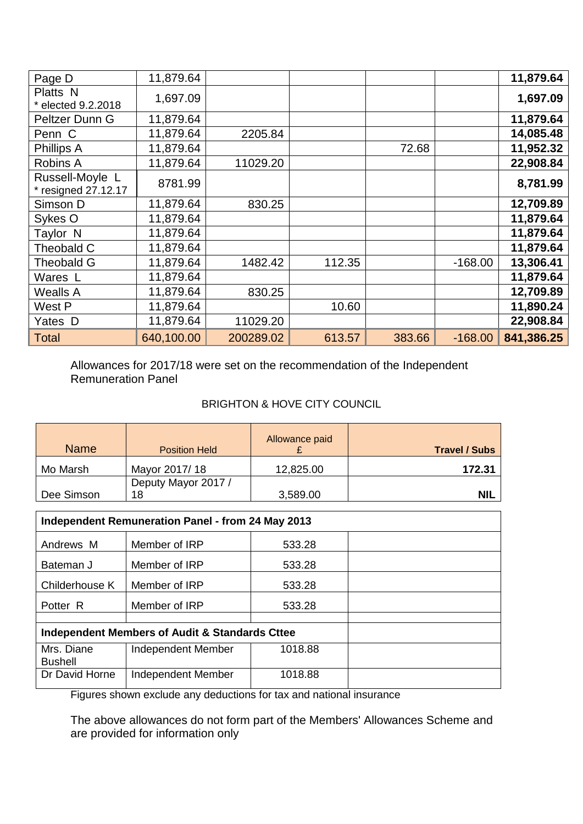| Page D                                 | 11,879.64  |           |        |        |           | 11,879.64  |
|----------------------------------------|------------|-----------|--------|--------|-----------|------------|
| Platts N<br>* elected 9.2.2018         | 1,697.09   |           |        |        |           | 1,697.09   |
| Peltzer Dunn G                         | 11,879.64  |           |        |        |           | 11,879.64  |
| Penn C                                 | 11,879.64  | 2205.84   |        |        |           | 14,085.48  |
| Phillips A                             | 11,879.64  |           |        | 72.68  |           | 11,952.32  |
| Robins A                               | 11,879.64  | 11029.20  |        |        |           | 22,908.84  |
| Russell-Moyle L<br>* resigned 27.12.17 | 8781.99    |           |        |        |           | 8,781.99   |
| Simson D                               | 11,879.64  | 830.25    |        |        |           | 12,709.89  |
| Sykes O                                | 11,879.64  |           |        |        |           | 11,879.64  |
| Taylor <sub>N</sub>                    | 11,879.64  |           |        |        |           | 11,879.64  |
| Theobald C                             | 11,879.64  |           |        |        |           | 11,879.64  |
| <b>Theobald G</b>                      | 11,879.64  | 1482.42   | 112.35 |        | $-168.00$ | 13,306.41  |
| Wares L                                | 11,879.64  |           |        |        |           | 11,879.64  |
| <b>Wealls A</b>                        | 11,879.64  | 830.25    |        |        |           | 12,709.89  |
| West P                                 | 11,879.64  |           | 10.60  |        |           | 11,890.24  |
| Yates D                                | 11,879.64  | 11029.20  |        |        |           | 22,908.84  |
| <b>Total</b>                           | 640,100.00 | 200289.02 | 613.57 | 383.66 | $-168.00$ | 841,386.25 |

Allowances for 2017/18 were set on the recommendation of the Independent Remuneration Panel

## BRIGHTON & HOVE CITY COUNCIL

| <b>Name</b> | <b>Position Held</b>      | Allowance paid | <b>Travel / Subs</b> |
|-------------|---------------------------|----------------|----------------------|
| Mo Marsh    | Mayor 2017/18             | 12,825.00      | 172.31               |
| Dee Simson  | Deputy Mayor 2017 /<br>18 | 3,589.00       | <b>NIL</b>           |

| Independent Remuneration Panel - from 24 May 2013 |                                                |         |  |  |
|---------------------------------------------------|------------------------------------------------|---------|--|--|
| Andrews M                                         | Member of IRP                                  | 533.28  |  |  |
| Bateman J                                         | Member of IRP                                  | 533.28  |  |  |
| Childerhouse K                                    | Member of IRP                                  | 533.28  |  |  |
| Potter R                                          | Member of IRP                                  | 533.28  |  |  |
|                                                   |                                                |         |  |  |
|                                                   | Independent Members of Audit & Standards Cttee |         |  |  |
| Mrs. Diane<br><b>Bushell</b>                      | Independent Member                             | 1018.88 |  |  |
| Dr David Horne                                    | Independent Member                             | 1018.88 |  |  |

Figures shown exclude any deductions for tax and national insurance

The above allowances do not form part of the Members' Allowances Scheme and are provided for information only